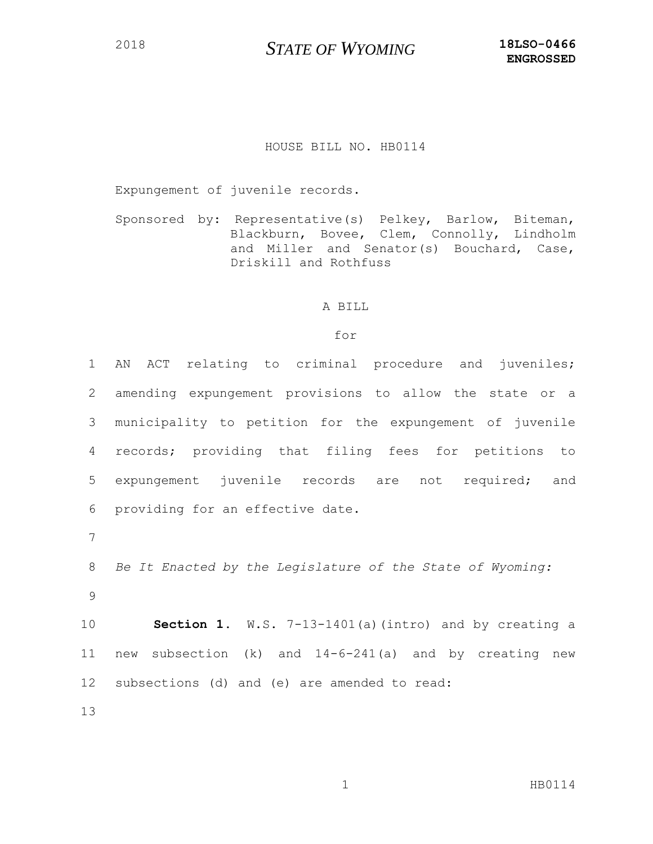## <sup>2018</sup> *STATE OF WYOMING* **18LSO-0466**

## HOUSE BILL NO. HB0114

Expungement of juvenile records.

Sponsored by: Representative(s) Pelkey, Barlow, Biteman, Blackburn, Bovee, Clem, Connolly, Lindholm and Miller and Senator(s) Bouchard, Case, Driskill and Rothfuss

## A BILL

## for

 AN ACT relating to criminal procedure and juveniles; amending expungement provisions to allow the state or a municipality to petition for the expungement of juvenile records; providing that filing fees for petitions to expungement juvenile records are not required; and providing for an effective date. 7 *Be It Enacted by the Legislature of the State of Wyoming:* 9 **Section 1.** W.S. 7-13-1401(a)(intro) and by creating a new subsection (k) and 14-6-241(a) and by creating new subsections (d) and (e) are amended to read: 13

1 HB0114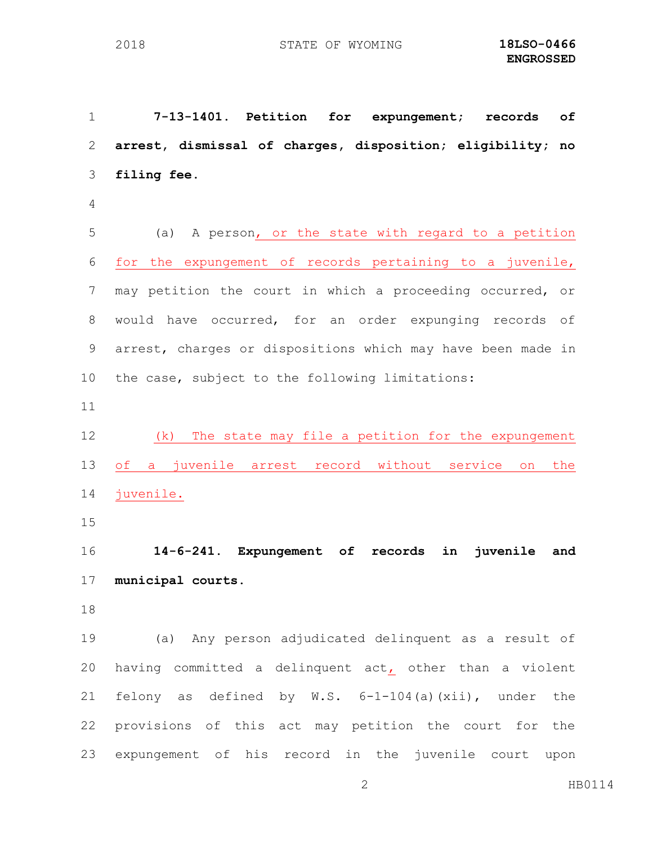**7-13-1401. Petition for expungement; records of arrest, dismissal of charges, disposition; eligibility; no filing fee.** (a) A person, or the state with regard to a petition for the expungement of records pertaining to a juvenile, may petition the court in which a proceeding occurred, or would have occurred, for an order expunging records of arrest, charges or dispositions which may have been made in the case, subject to the following limitations: (k) The state may file a petition for the expungement of a juvenile arrest record without service on the juvenile. **14-6-241. Expungement of records in juvenile and municipal courts.** (a) Any person adjudicated delinquent as a result of having committed a delinquent act, other than a violent felony as defined by W.S. 6-1-104(a)(xii), under the provisions of this act may petition the court for the expungement of his record in the juvenile court upon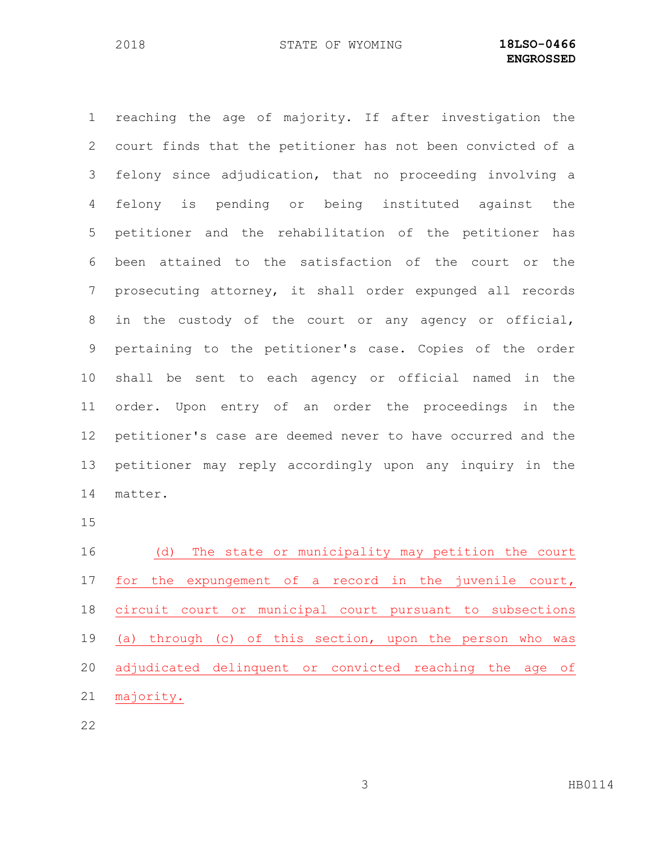reaching the age of majority. If after investigation the court finds that the petitioner has not been convicted of a felony since adjudication, that no proceeding involving a felony is pending or being instituted against the petitioner and the rehabilitation of the petitioner has been attained to the satisfaction of the court or the prosecuting attorney, it shall order expunged all records in the custody of the court or any agency or official, pertaining to the petitioner's case. Copies of the order shall be sent to each agency or official named in the order. Upon entry of an order the proceedings in the petitioner's case are deemed never to have occurred and the petitioner may reply accordingly upon any inquiry in the matter. (d) The state or municipality may petition the court for the expungement of a record in the juvenile court,

 (a) through (c) of this section, upon the person who was adjudicated delinquent or convicted reaching the age of majority.

circuit court or municipal court pursuant to subsections